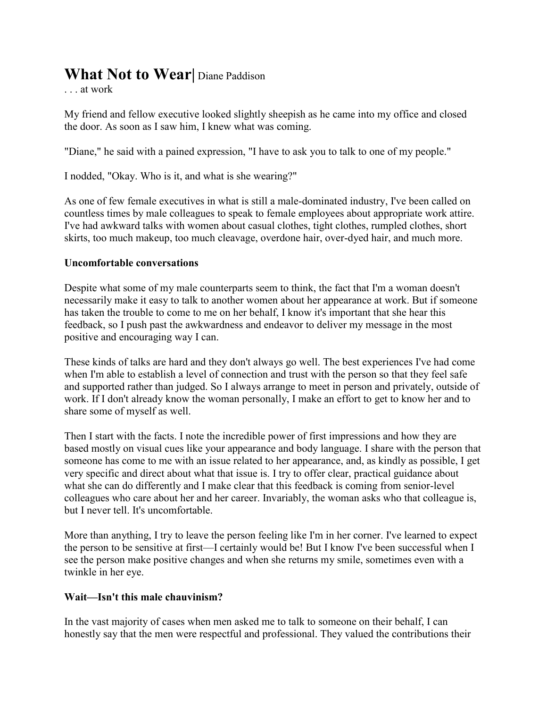# **What Not to Wear|** Diane Paddison

. . . at work

My friend and fellow executive looked slightly sheepish as he came into my office and closed the door. As soon as I saw him, I knew what was coming.

"Diane," he said with a pained expression, "I have to ask you to talk to one of my people."

I nodded, "Okay. Who is it, and what is she wearing?"

As one of few female executives in what is still a male-dominated industry, I've been called on countless times by male colleagues to speak to female employees about appropriate work attire. I've had awkward talks with women about casual clothes, tight clothes, rumpled clothes, short skirts, too much makeup, too much cleavage, overdone hair, over-dyed hair, and much more.

# **Uncomfortable conversations**

Despite what some of my male counterparts seem to think, the fact that I'm a woman doesn't necessarily make it easy to talk to another women about her appearance at work. But if someone has taken the trouble to come to me on her behalf, I know it's important that she hear this feedback, so I push past the awkwardness and endeavor to deliver my message in the most positive and encouraging way I can.

These kinds of talks are hard and they don't always go well. The best experiences I've had come when I'm able to establish a level of connection and trust with the person so that they feel safe and supported rather than judged. So I always arrange to meet in person and privately, outside of work. If I don't already know the woman personally, I make an effort to get to know her and to share some of myself as well.

Then I start with the facts. I note the incredible power of first impressions and how they are based mostly on visual cues like your appearance and body language. I share with the person that someone has come to me with an issue related to her appearance, and, as kindly as possible, I get very specific and direct about what that issue is. I try to offer clear, practical guidance about what she can do differently and I make clear that this feedback is coming from senior-level colleagues who care about her and her career. Invariably, the woman asks who that colleague is, but I never tell. It's uncomfortable.

More than anything, I try to leave the person feeling like I'm in her corner. I've learned to expect the person to be sensitive at first—I certainly would be! But I know I've been successful when I see the person make positive changes and when she returns my smile, sometimes even with a twinkle in her eye.

### **Wait—Isn't this male chauvinism?**

In the vast majority of cases when men asked me to talk to someone on their behalf, I can honestly say that the men were respectful and professional. They valued the contributions their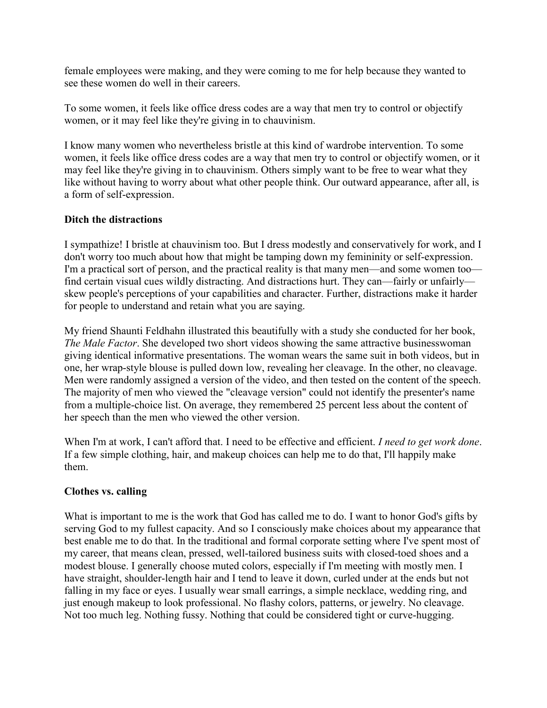female employees were making, and they were coming to me for help because they wanted to see these women do well in their careers.

To some women, it feels like office dress codes are a way that men try to control or objectify women, or it may feel like they're giving in to chauvinism.

I know many women who nevertheless bristle at this kind of wardrobe intervention. To some women, it feels like office dress codes are a way that men try to control or objectify women, or it may feel like they're giving in to chauvinism. Others simply want to be free to wear what they like without having to worry about what other people think. Our outward appearance, after all, is a form of self-expression.

# **Ditch the distractions**

I sympathize! I bristle at chauvinism too. But I dress modestly and conservatively for work, and I don't worry too much about how that might be tamping down my femininity or self-expression. I'm a practical sort of person, and the practical reality is that many men—and some women too find certain visual cues wildly distracting. And distractions hurt. They can—fairly or unfairly skew people's perceptions of your capabilities and character. Further, distractions make it harder for people to understand and retain what you are saying.

My friend Shaunti Feldhahn illustrated this beautifully with [a study](http://vimeo.com/34952649) she conducted for her book, *[The Male Factor](http://www.amazon.com/dp/0385528116/?tag=christtoday-20)*. She developed two short videos showing the same attractive businesswoman giving identical informative presentations. The woman wears the same suit in both videos, but in one, her wrap-style blouse is pulled down low, revealing her cleavage. In the other, no cleavage. Men were randomly assigned a version of the video, and then tested on the content of the speech. The majority of men who viewed the "cleavage version" could not identify the presenter's name from a multiple-choice list. On average, they remembered 25 percent less about the content of her speech than the men who viewed the other version.

When I'm at work, I can't afford that. I need to be effective and efficient. *I need to get work done*. If a few simple clothing, hair, and makeup choices can help me to do that, I'll happily make them.

### **Clothes vs. calling**

What is important to me is the work that God has called me to do. I want to honor God's gifts by serving God to my fullest capacity. And so I consciously make choices about my appearance that best enable me to do that. In the traditional and formal corporate setting where I've spent most of my career, that means clean, pressed, well-tailored [business suits](http://www.marieclaire.com/fashion/tips/fashion-dress-for-the-job-you-want-4) with closed-toed shoes and a modest blouse. I generally choose muted colors, especially if I'm meeting with mostly men. I have straight, shoulder-length hair and I tend to leave it down, curled under at the ends but not falling in my face or eyes. I usually wear small earrings, a simple necklace, wedding ring, and [just enough makeup](http://www.nytimes.com/2011/10/13/fashion/makeup-makes-women-appear-more-competent-study.html?_r=0) to look professional. No flashy [colors,](http://news.sciencemag.org/2012/02/red-dress-effect) patterns, or jewelry. No cleavage. Not too much leg. Nothing fussy. Nothing that could be considered tight or curve-hugging.